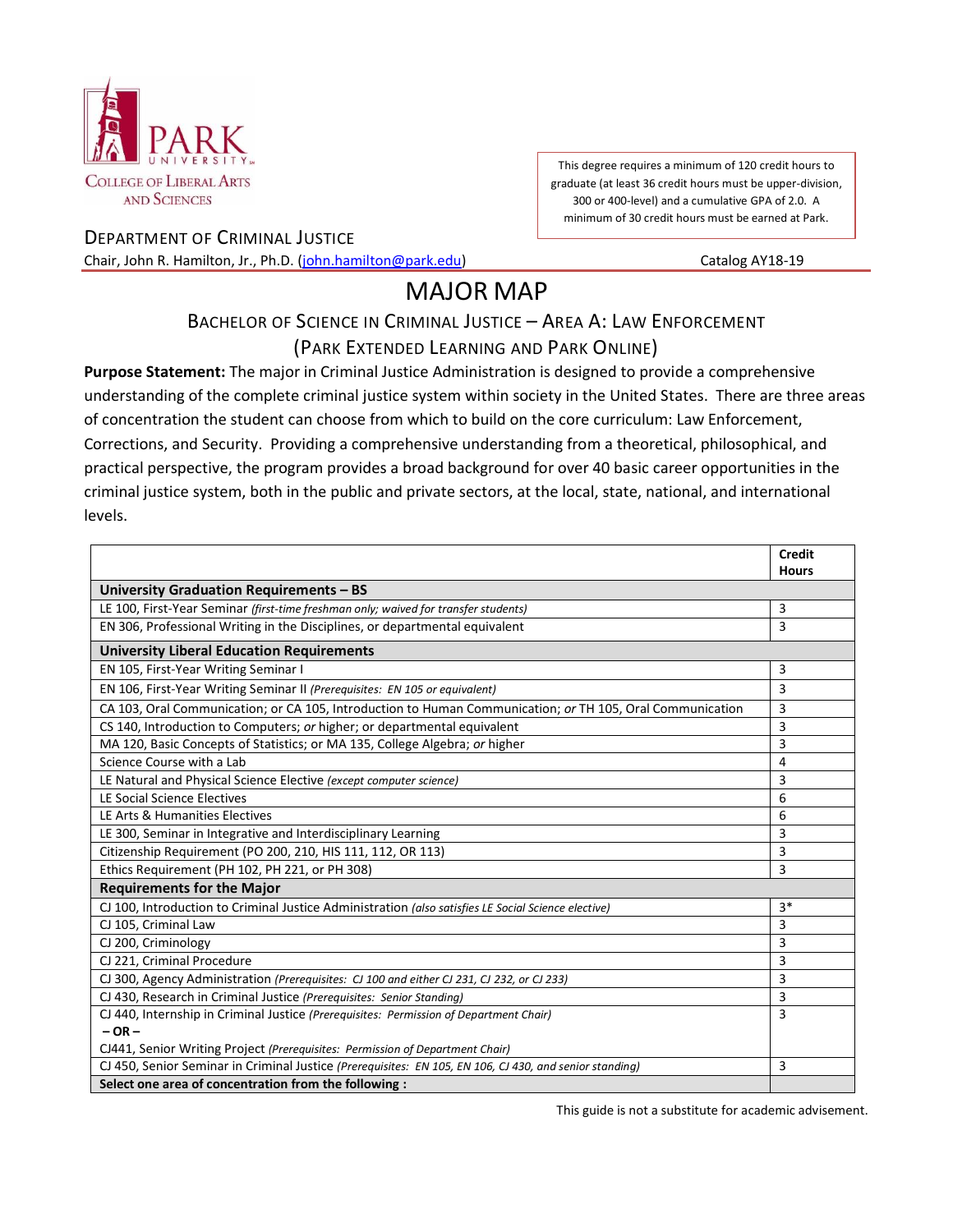

This degree requires a minimum of 120 credit hours to graduate (at least 36 credit hours must be upper-division, 300 or 400-level) and a cumulative GPA of 2.0. A minimum of 30 credit hours must be earned at Park.

DEPARTMENT OF CRIMINAL JUSTICE Chair, John R. Hamilton, Jr., Ph.D. [\(john.hamilton@park.edu\)](mailto:john.hamilton@park.edu) Catalog AY18-19

# MAJOR MAP

## BACHELOR OF SCIENCE IN CRIMINAL JUSTICE - AREA A: LAW ENFORCEMENT

### (PARK EXTENDED LEARNING AND PARK ONLINE)

**Purpose Statement:** The major in Criminal Justice Administration is designed to provide a comprehensive understanding of the complete criminal justice system within society in the United States. There are three areas of concentration the student can choose from which to build on the core curriculum: Law Enforcement, Corrections, and Security. Providing a comprehensive understanding from a theoretical, philosophical, and practical perspective, the program provides a broad background for over 40 basic career opportunities in the criminal justice system, both in the public and private sectors, at the local, state, national, and international levels.

|                                                                                                           | <b>Credit</b> |
|-----------------------------------------------------------------------------------------------------------|---------------|
|                                                                                                           | <b>Hours</b>  |
| University Graduation Requirements - BS                                                                   |               |
| LE 100, First-Year Seminar (first-time freshman only; waived for transfer students)                       | 3             |
| EN 306, Professional Writing in the Disciplines, or departmental equivalent                               | 3             |
| <b>University Liberal Education Requirements</b>                                                          |               |
| EN 105, First-Year Writing Seminar I                                                                      | 3             |
| EN 106, First-Year Writing Seminar II (Prerequisites: EN 105 or equivalent)                               | 3             |
| CA 103, Oral Communication; or CA 105, Introduction to Human Communication; or TH 105, Oral Communication | 3             |
| CS 140, Introduction to Computers; or higher; or departmental equivalent                                  | 3             |
| MA 120, Basic Concepts of Statistics; or MA 135, College Algebra; or higher                               | 3             |
| Science Course with a Lab                                                                                 | 4             |
| LE Natural and Physical Science Elective (except computer science)                                        | 3             |
| LE Social Science Electives                                                                               | 6             |
| LE Arts & Humanities Electives                                                                            | 6             |
| LE 300, Seminar in Integrative and Interdisciplinary Learning                                             | 3             |
| Citizenship Requirement (PO 200, 210, HIS 111, 112, OR 113)                                               | 3             |
| Ethics Requirement (PH 102, PH 221, or PH 308)                                                            | 3             |
| <b>Requirements for the Major</b>                                                                         |               |
| CJ 100, Introduction to Criminal Justice Administration (also satisfies LE Social Science elective)       | $3*$          |
| CJ 105, Criminal Law                                                                                      | 3             |
| CJ 200, Criminology                                                                                       | 3             |
| CJ 221, Criminal Procedure                                                                                | 3             |
| CJ 300, Agency Administration (Prerequisites: CJ 100 and either CJ 231, CJ 232, or CJ 233)                | 3             |
| CJ 430, Research in Criminal Justice (Prerequisites: Senior Standing)                                     | 3             |
| CJ 440, Internship in Criminal Justice (Prerequisites: Permission of Department Chair)                    | 3             |
| $-OR -$                                                                                                   |               |
| CJ441, Senior Writing Project (Prerequisites: Permission of Department Chair)                             |               |
| CJ 450, Senior Seminar in Criminal Justice (Prerequisites: EN 105, EN 106, CJ 430, and senior standing)   | 3             |
| Select one area of concentration from the following :                                                     |               |

This guide is not a substitute for academic advisement.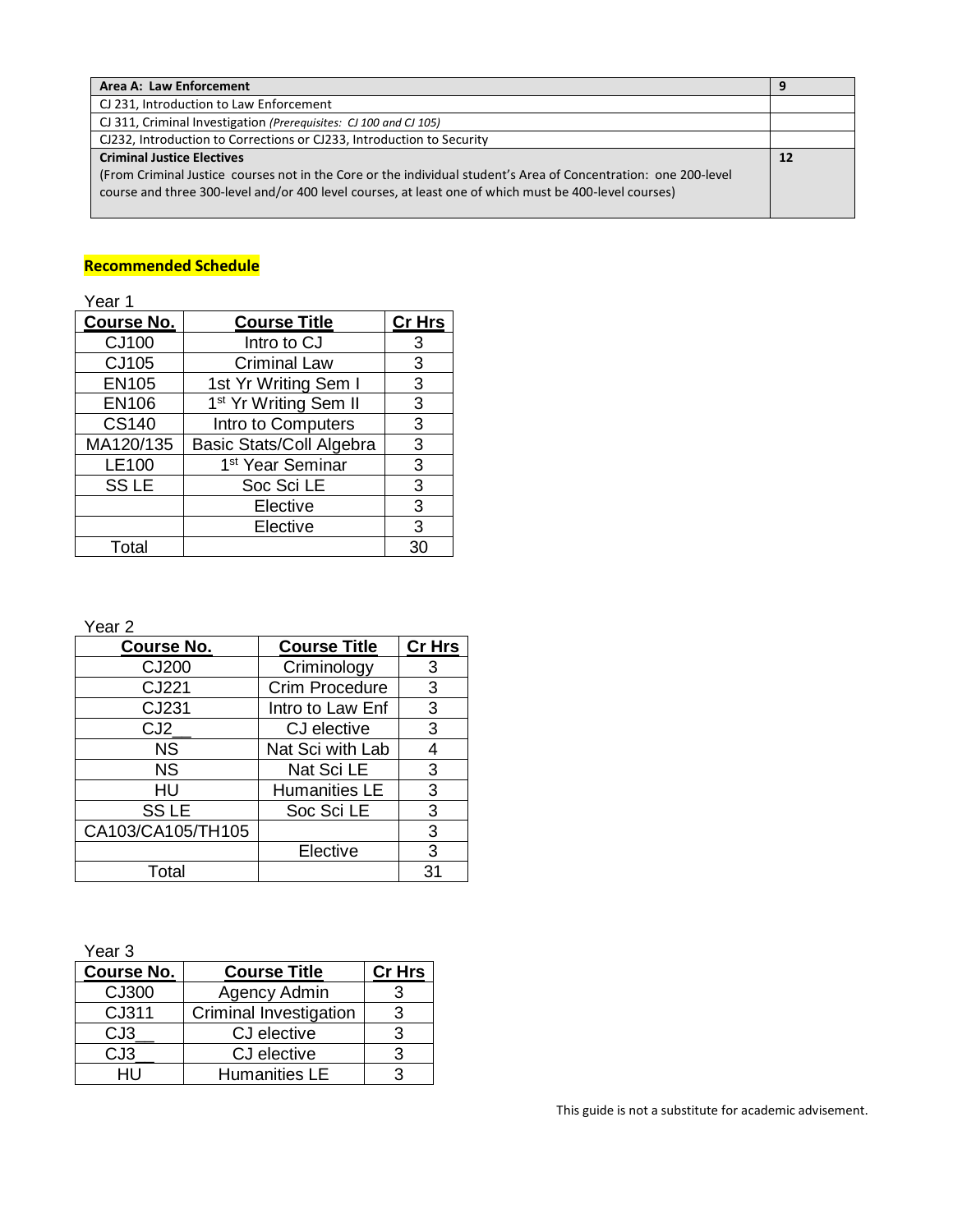| Area A: Law Enforcement                                                                                         | 9  |
|-----------------------------------------------------------------------------------------------------------------|----|
| CJ 231, Introduction to Law Enforcement                                                                         |    |
| CJ 311, Criminal Investigation (Prerequisites: CJ 100 and CJ 105)                                               |    |
| CJ232, Introduction to Corrections or CJ233, Introduction to Security                                           |    |
| <b>Criminal Justice Electives</b>                                                                               | 12 |
| (From Criminal Justice courses not in the Core or the individual student's Area of Concentration: one 200-level |    |
| course and three 300-level and/or 400 level courses, at least one of which must be 400-level courses)           |    |
|                                                                                                                 |    |

#### **Recommended Schedule**

| Year 1            |                                   |               |
|-------------------|-----------------------------------|---------------|
| <b>Course No.</b> | <b>Course Title</b>               | <b>Cr Hrs</b> |
| <b>CJ100</b>      | Intro to CJ                       | 3             |
| CJ105             | <b>Criminal Law</b>               | 3             |
| <b>EN105</b>      | 1st Yr Writing Sem I              | 3             |
| <b>EN106</b>      | 1 <sup>st</sup> Yr Writing Sem II | 3             |
| <b>CS140</b>      | Intro to Computers                | 3             |
| MA120/135         | <b>Basic Stats/Coll Algebra</b>   | 3             |
| <b>LE100</b>      | 1 <sup>st</sup> Year Seminar      | 3             |
| <b>SSLE</b>       | Soc Sci LE                        | 3             |
|                   | Elective                          | 3             |
|                   | Elective                          | 3             |
| Total             |                                   | 30            |

Year 2

| <b>Course No.</b> | <b>Course Title</b>  | Cr Hrs |
|-------------------|----------------------|--------|
| CJ200             | Criminology          | 3      |
| CJ221             | Crim Procedure       | 3      |
| CJ231             | Intro to Law Enf     | 3      |
| CJ2               | CJ elective          | 3      |
| <b>NS</b>         | Nat Sci with Lab     | 4      |
| <b>NS</b>         | Nat Sci LE           | 3      |
| HU                | <b>Humanities LE</b> | 3      |
| <b>SSLE</b>       | Soc Sci LE           | 3      |
| CA103/CA105/TH105 |                      | 3      |
|                   | Elective             | 3      |
| Total             |                      | 31     |

Year 3

| <b>Course No.</b> | <b>Course Title</b>    | Cr Hrs |
|-------------------|------------------------|--------|
| CJ300             | Agency Admin           |        |
| CJ311             | Criminal Investigation |        |
| CJ <sub>3</sub>   | CJ elective            |        |
| CJ3               | CJ elective            |        |
| HH                | <b>Humanities LE</b>   |        |